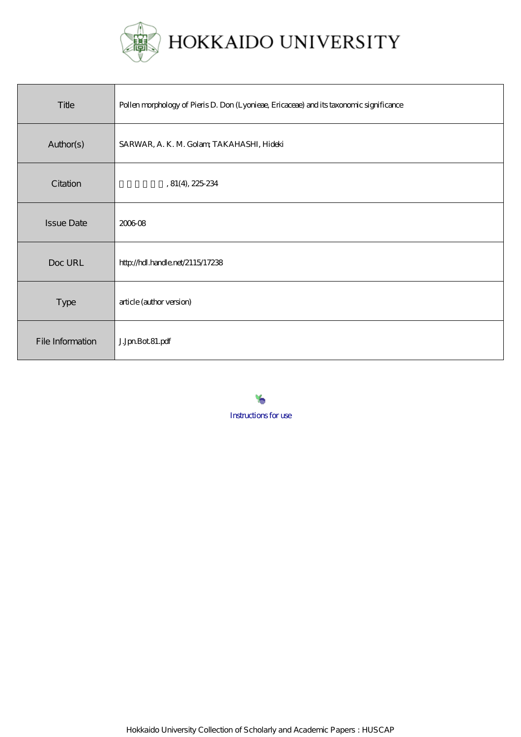

| Title             | Pollen morphology of Pieris D. Don (Lyonieae, Ericaceae) and its taxonomic significance |
|-------------------|-----------------------------------------------------------------------------------------|
| Author(s)         | SARWAR, A. K. M. Golam, TAKAHASHI, Hideki                                               |
| Citation          | , 81(4), 225234                                                                         |
| <b>Issue Date</b> | 200608                                                                                  |
| Doc URL           | http://hdl.handle.net/2115/17238                                                        |
| <b>Type</b>       | article (author version)                                                                |
| File Information  | J.JpnBot.81.pdf                                                                         |

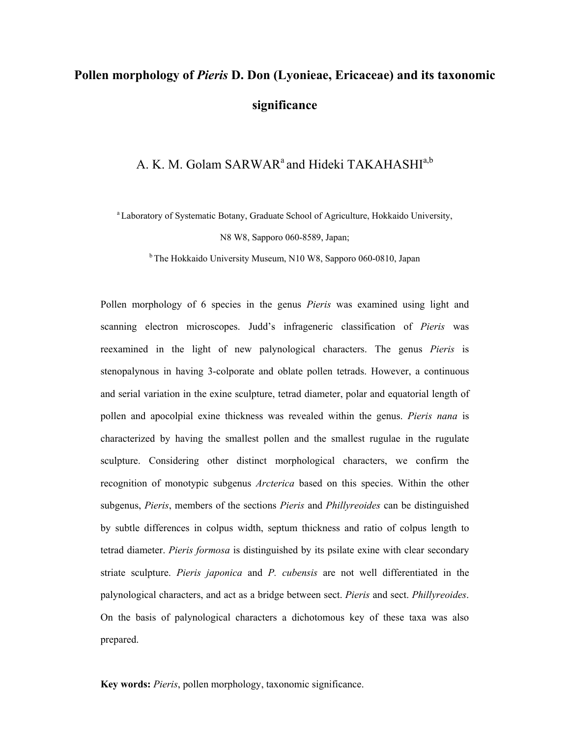# **Pollen morphology of** *Pieris* **D. Don (Lyonieae, Ericaceae) and its taxonomic significance**

## A. K. M. Golam SARWAR<sup>a</sup> and Hideki TAKAHASHI<sup>a,b</sup>

a Laboratory of Systematic Botany, Graduate School of Agriculture, Hokkaido University, N8 W8, Sapporo 060-8589, Japan;

b The Hokkaido University Museum, N10 W8, Sapporo 060-0810, Japan

Pollen morphology of 6 species in the genus *Pieris* was examined using light and scanning electron microscopes. Judd's infrageneric classification of *Pieris* was reexamined in the light of new palynological characters. The genus *Pieris* is stenopalynous in having 3-colporate and oblate pollen tetrads. However, a continuous and serial variation in the exine sculpture, tetrad diameter, polar and equatorial length of pollen and apocolpial exine thickness was revealed within the genus. *Pieris nana* is characterized by having the smallest pollen and the smallest rugulae in the rugulate sculpture. Considering other distinct morphological characters, we confirm the recognition of monotypic subgenus *Arcterica* based on this species. Within the other subgenus, *Pieris*, members of the sections *Pieris* and *Phillyreoides* can be distinguished by subtle differences in colpus width, septum thickness and ratio of colpus length to tetrad diameter. *Pieris formosa* is distinguished by its psilate exine with clear secondary striate sculpture. *Pieris japonica* and *P. cubensis* are not well differentiated in the palynological characters, and act as a bridge between sect. *Pieris* and sect. *Phillyreoides*. On the basis of palynological characters a dichotomous key of these taxa was also prepared.

**Key words:** *Pieris*, pollen morphology, taxonomic significance.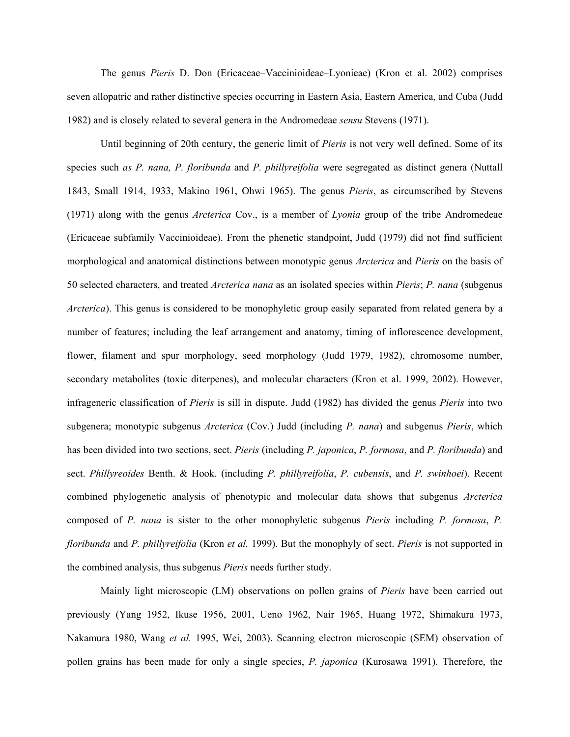The genus *Pieris* D. Don (Ericaceae–Vaccinioideae–Lyonieae) (Kron et al. 2002) comprises seven allopatric and rather distinctive species occurring in Eastern Asia, Eastern America, and Cuba (Judd 1982) and is closely related to several genera in the Andromedeae *sensu* Stevens (1971).

Until beginning of 20th century, the generic limit of *Pieris* is not very well defined. Some of its species such *as P. nana, P. floribunda* and *P. phillyreifolia* were segregated as distinct genera (Nuttall 1843, Small 1914, 1933, Makino 1961, Ohwi 1965). The genus *Pieris*, as circumscribed by Stevens (1971) along with the genus *Arcterica* Cov., is a member of *Lyonia* group of the tribe Andromedeae (Ericaceae subfamily Vaccinioideae). From the phenetic standpoint, Judd (1979) did not find sufficient morphological and anatomical distinctions between monotypic genus *Arcterica* and *Pieris* on the basis of 50 selected characters, and treated *Arcterica nana* as an isolated species within *Pieris*; *P. nana* (subgenus *Arcterica*). This genus is considered to be monophyletic group easily separated from related genera by a number of features; including the leaf arrangement and anatomy, timing of inflorescence development, flower, filament and spur morphology, seed morphology (Judd 1979, 1982), chromosome number, secondary metabolites (toxic diterpenes), and molecular characters (Kron et al. 1999, 2002). However, infrageneric classification of *Pieris* is sill in dispute. Judd (1982) has divided the genus *Pieris* into two subgenera; monotypic subgenus *Arcterica* (Cov.) Judd (including *P. nana*) and subgenus *Pieris*, which has been divided into two sections, sect. *Pieris* (including *P. japonica*, *P. formosa*, and *P. floribunda*) and sect. *Phillyreoides* Benth. & Hook. (including *P. phillyreifolia*, *P. cubensis*, and *P. swinhoei*). Recent combined phylogenetic analysis of phenotypic and molecular data shows that subgenus *Arcterica* composed of *P. nana* is sister to the other monophyletic subgenus *Pieris* including *P. formosa*, *P. floribunda* and *P. phillyreifolia* (Kron *et al.* 1999). But the monophyly of sect. *Pieris* is not supported in the combined analysis, thus subgenus *Pieris* needs further study.

Mainly light microscopic (LM) observations on pollen grains of *Pieris* have been carried out previously (Yang 1952, Ikuse 1956, 2001, Ueno 1962, Nair 1965, Huang 1972, Shimakura 1973, Nakamura 1980, Wang *et al.* 1995, Wei, 2003). Scanning electron microscopic (SEM) observation of pollen grains has been made for only a single species, *P. japonica* (Kurosawa 1991). Therefore, the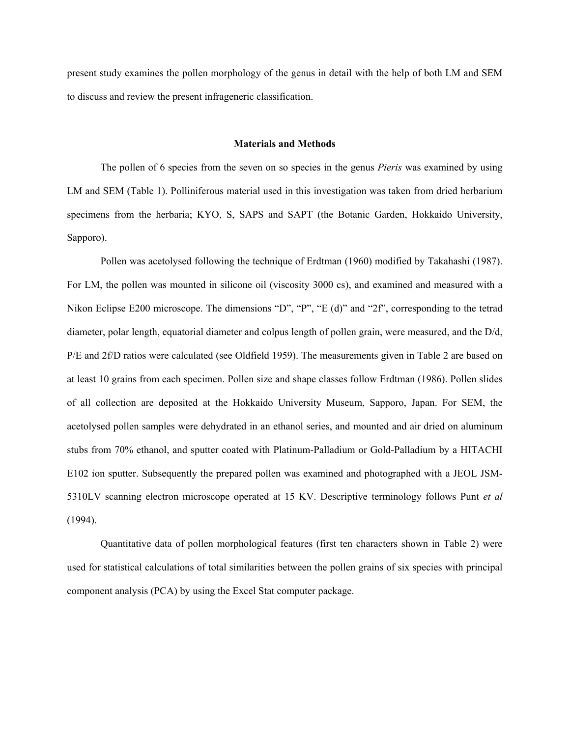present study examines the pollen morphology of the genus in detail with the help of both LM and SEM to discuss and review the present infrageneric classification.

#### **Materials and Methods**

The pollen of 6 species from the seven on so species in the genus *Pieris* was examined by using LM and SEM (Table 1). Polliniferous material used in this investigation was taken from dried herbarium specimens from the herbaria; KYO, S, SAPS and SAPT (the Botanic Garden, Hokkaido University, Sapporo).

Pollen was acetolysed following the technique of Erdtman (1960) modified by Takahashi (1987). For LM, the pollen was mounted in silicone oil (viscosity 3000 cs), and examined and measured with a Nikon Eclipse E200 microscope. The dimensions "D", "P", "E (d)" and "2f", corresponding to the tetrad diameter, polar length, equatorial diameter and colpus length of pollen grain, were measured, and the D/d, P/E and 2f/D ratios were calculated (see Oldfield 1959). The measurements given in Table 2 are based on at least 10 grains from each specimen. Pollen size and shape classes follow Erdtman (1986). Pollen slides of all collection are deposited at the Hokkaido University Museum, Sapporo, Japan. For SEM, the acetolysed pollen samples were dehydrated in an ethanol series, and mounted and air dried on aluminum stubs from 70% ethanol, and sputter coated with Platinum-Palladium or Gold-Palladium by a HITACHI E102 ion sputter. Subsequently the prepared pollen was examined and photographed with a JEOL JSM-5310LV scanning electron microscope operated at 15 KV. Descriptive terminology follows Punt *et al*  (1994).

Quantitative data of pollen morphological features (first ten characters shown in Table 2) were used for statistical calculations of total similarities between the pollen grains of six species with principal component analysis (PCA) by using the Excel Stat computer package.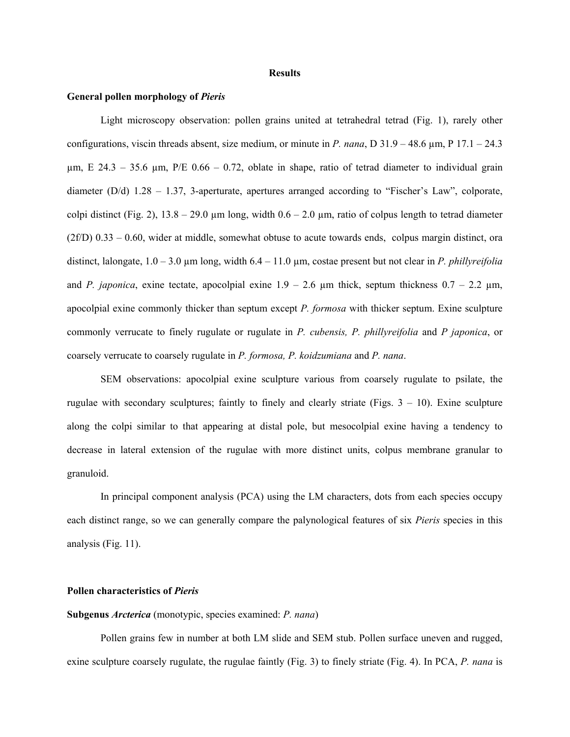#### **Results**

#### **General pollen morphology of** *Pieris*

Light microscopy observation: pollen grains united at tetrahedral tetrad (Fig. 1), rarely other configurations, viscin threads absent, size medium, or minute in *P. nana*, D 31.9 – 48.6 µm, P 17.1 – 24.3  $\mu$ m, E 24.3 – 35.6  $\mu$ m, P/E 0.66 – 0.72, oblate in shape, ratio of tetrad diameter to individual grain diameter (D/d) 1.28 – 1.37, 3-aperturate, apertures arranged according to "Fischer's Law", colporate, colpi distinct (Fig. 2),  $13.8 - 29.0 \text{ µm}$  long, width  $0.6 - 2.0 \text{ µm}$ , ratio of colpus length to tetrad diameter  $(2f/D)$  0.33 – 0.60, wider at middle, somewhat obtuse to acute towards ends, colpus margin distinct, ora distinct, lalongate, 1.0 – 3.0 µm long, width 6.4 – 11.0 µm, costae present but not clear in *P. phillyreifolia*  and *P. japonica*, exine tectate, apocolpial exine  $1.9 - 2.6 \mu m$  thick, septum thickness  $0.7 - 2.2 \mu m$ , apocolpial exine commonly thicker than septum except *P. formosa* with thicker septum. Exine sculpture commonly verrucate to finely rugulate or rugulate in *P. cubensis, P. phillyreifolia* and *P japonica*, or coarsely verrucate to coarsely rugulate in *P. formosa, P. koidzumiana* and *P. nana*.

SEM observations: apocolpial exine sculpture various from coarsely rugulate to psilate, the rugulae with secondary sculptures; faintly to finely and clearly striate (Figs.  $3 - 10$ ). Exine sculpture along the colpi similar to that appearing at distal pole, but mesocolpial exine having a tendency to decrease in lateral extension of the rugulae with more distinct units, colpus membrane granular to granuloid.

In principal component analysis (PCA) using the LM characters, dots from each species occupy each distinct range, so we can generally compare the palynological features of six *Pieris* species in this analysis (Fig. 11).

#### **Pollen characteristics of** *Pieris*

### **Subgenus** *Arcterica* (monotypic, species examined: *P. nana*)

Pollen grains few in number at both LM slide and SEM stub. Pollen surface uneven and rugged, exine sculpture coarsely rugulate, the rugulae faintly (Fig. 3) to finely striate (Fig. 4). In PCA, *P. nana* is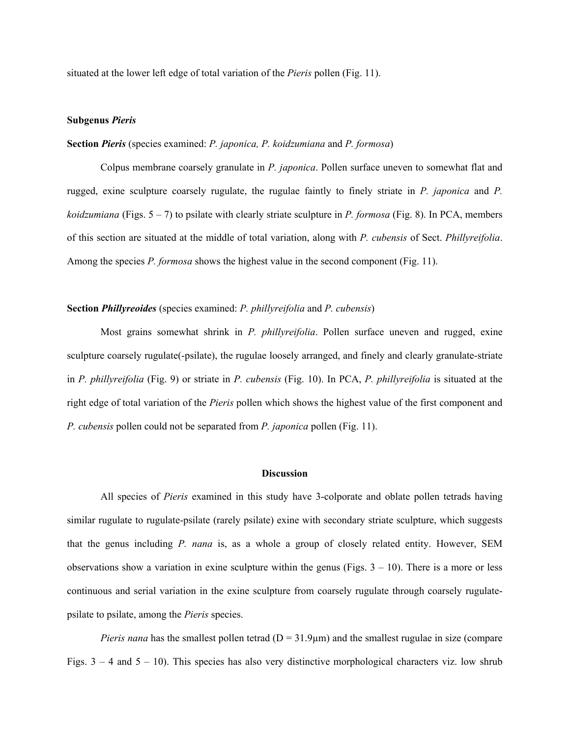situated at the lower left edge of total variation of the *Pieris* pollen (Fig. 11).

#### **Subgenus** *Pieris*

#### **Section** *Pieris* (species examined: *P. japonica, P. koidzumiana* and *P. formosa*)

Colpus membrane coarsely granulate in *P. japonica*. Pollen surface uneven to somewhat flat and rugged, exine sculpture coarsely rugulate, the rugulae faintly to finely striate in *P. japonica* and *P. koidzumiana* (Figs. 5 – 7) to psilate with clearly striate sculpture in *P. formosa* (Fig. 8). In PCA, members of this section are situated at the middle of total variation, along with *P. cubensis* of Sect. *Phillyreifolia*. Among the species *P. formosa* shows the highest value in the second component (Fig. 11).

#### **Section** *Phillyreoides* (species examined: *P. phillyreifolia* and *P. cubensis*)

Most grains somewhat shrink in *P. phillyreifolia*. Pollen surface uneven and rugged, exine sculpture coarsely rugulate(-psilate), the rugulae loosely arranged, and finely and clearly granulate-striate in *P. phillyreifolia* (Fig. 9) or striate in *P. cubensis* (Fig. 10). In PCA, *P. phillyreifolia* is situated at the right edge of total variation of the *Pieris* pollen which shows the highest value of the first component and *P. cubensis* pollen could not be separated from *P. japonica* pollen (Fig. 11).

#### **Discussion**

All species of *Pieris* examined in this study have 3-colporate and oblate pollen tetrads having similar rugulate to rugulate-psilate (rarely psilate) exine with secondary striate sculpture, which suggests that the genus including *P. nana* is, as a whole a group of closely related entity. However, SEM observations show a variation in exine sculpture within the genus (Figs.  $3 - 10$ ). There is a more or less continuous and serial variation in the exine sculpture from coarsely rugulate through coarsely rugulatepsilate to psilate, among the *Pieris* species.

*Pieris nana* has the smallest pollen tetrad ( $D = 31.9 \mu m$ ) and the smallest rugulae in size (compare Figs.  $3 - 4$  and  $5 - 10$ ). This species has also very distinctive morphological characters viz. low shrub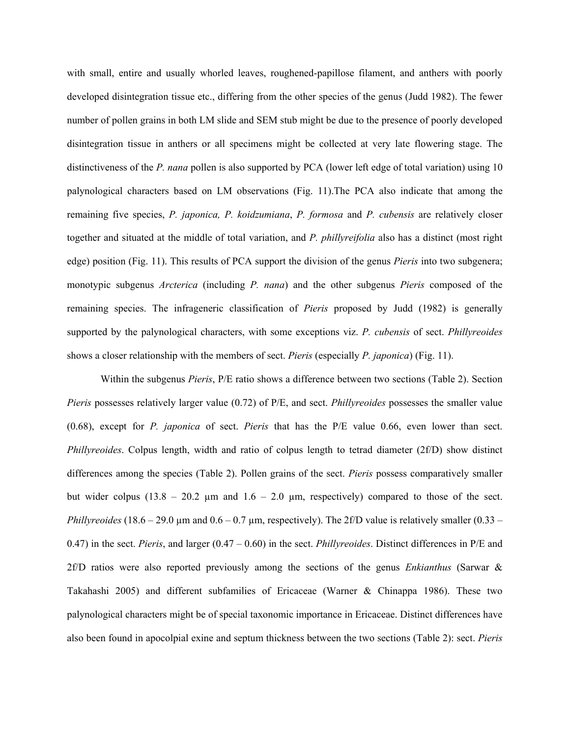with small, entire and usually whorled leaves, roughened-papillose filament, and anthers with poorly developed disintegration tissue etc., differing from the other species of the genus (Judd 1982). The fewer number of pollen grains in both LM slide and SEM stub might be due to the presence of poorly developed disintegration tissue in anthers or all specimens might be collected at very late flowering stage. The distinctiveness of the *P. nana* pollen is also supported by PCA (lower left edge of total variation) using 10 palynological characters based on LM observations (Fig. 11).The PCA also indicate that among the remaining five species, *P. japonica, P. koidzumiana*, *P. formosa* and *P. cubensis* are relatively closer together and situated at the middle of total variation, and *P. phillyreifolia* also has a distinct (most right edge) position (Fig. 11). This results of PCA support the division of the genus *Pieris* into two subgenera; monotypic subgenus *Arcterica* (including *P. nana*) and the other subgenus *Pieris* composed of the remaining species. The infrageneric classification of *Pieris* proposed by Judd (1982) is generally supported by the palynological characters, with some exceptions viz. *P. cubensis* of sect. *Phillyreoides* shows a closer relationship with the members of sect. *Pieris* (especially *P. japonica*) (Fig. 11).

Within the subgenus *Pieris*, P/E ratio shows a difference between two sections (Table 2). Section *Pieris* possesses relatively larger value (0.72) of P/E, and sect. *Phillyreoides* possesses the smaller value (0.68), except for *P. japonica* of sect. *Pieris* that has the P/E value 0.66, even lower than sect. *Phillyreoides*. Colpus length, width and ratio of colpus length to tetrad diameter (2f/D) show distinct differences among the species (Table 2). Pollen grains of the sect. *Pieris* possess comparatively smaller but wider colpus  $(13.8 - 20.2 \mu m)$  and  $1.6 - 2.0 \mu m$ , respectively) compared to those of the sect. *Phillyreoides* (18.6 – 29.0 µm and  $0.6 - 0.7$  µm, respectively). The 2f/D value is relatively smaller (0.33 – 0.47) in the sect. *Pieris*, and larger (0.47 – 0.60) in the sect. *Phillyreoides*. Distinct differences in P/E and 2f/D ratios were also reported previously among the sections of the genus *Enkianthus* (Sarwar & Takahashi 2005) and different subfamilies of Ericaceae (Warner & Chinappa 1986). These two palynological characters might be of special taxonomic importance in Ericaceae. Distinct differences have also been found in apocolpial exine and septum thickness between the two sections (Table 2): sect. *Pieris*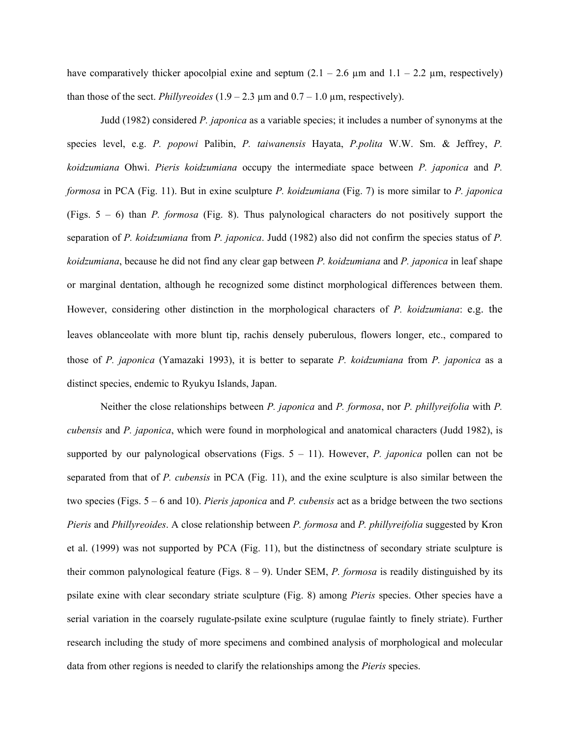have comparatively thicker apocolpial exine and septum  $(2.1 - 2.6 \mu m)$  and  $(1.1 - 2.2 \mu m)$ , respectively) than those of the sect. *Phillyreoides*  $(1.9 - 2.3 \mu m$  and  $0.7 - 1.0 \mu m$ , respectively).

Judd (1982) considered *P. japonica* as a variable species; it includes a number of synonyms at the species level, e.g. *P. popowi* Palibin, *P. taiwanensis* Hayata, *P.polita* W.W. Sm. & Jeffrey, *P. koidzumiana* Ohwi. *Pieris koidzumiana* occupy the intermediate space between *P. japonica* and *P. formosa* in PCA (Fig. 11). But in exine sculpture *P. koidzumiana* (Fig. 7) is more similar to *P. japonica* (Figs. 5 – 6) than *P. formosa* (Fig. 8). Thus palynological characters do not positively support the separation of *P. koidzumiana* from *P. japonica*. Judd (1982) also did not confirm the species status of *P. koidzumiana*, because he did not find any clear gap between *P. koidzumiana* and *P. japonica* in leaf shape or marginal dentation, although he recognized some distinct morphological differences between them. However, considering other distinction in the morphological characters of *P. koidzumiana*: e.g. the leaves oblanceolate with more blunt tip, rachis densely puberulous, flowers longer, etc., compared to those of *P. japonica* (Yamazaki 1993), it is better to separate *P. koidzumiana* from *P. japonica* as a distinct species, endemic to Ryukyu Islands, Japan.

Neither the close relationships between *P. japonica* and *P. formosa*, nor *P. phillyreifolia* with *P. cubensis* and *P. japonica*, which were found in morphological and anatomical characters (Judd 1982), is supported by our palynological observations (Figs. 5 – 11). However, *P. japonica* pollen can not be separated from that of *P. cubensis* in PCA (Fig. 11), and the exine sculpture is also similar between the two species (Figs. 5 – 6 and 10). *Pieris japonica* and *P. cubensis* act as a bridge between the two sections *Pieris* and *Phillyreoides*. A close relationship between *P. formosa* and *P. phillyreifolia* suggested by Kron et al. (1999) was not supported by PCA (Fig. 11), but the distinctness of secondary striate sculpture is their common palynological feature (Figs. 8 – 9). Under SEM, *P. formosa* is readily distinguished by its psilate exine with clear secondary striate sculpture (Fig. 8) among *Pieris* species. Other species have a serial variation in the coarsely rugulate-psilate exine sculpture (rugulae faintly to finely striate). Further research including the study of more specimens and combined analysis of morphological and molecular data from other regions is needed to clarify the relationships among the *Pieris* species.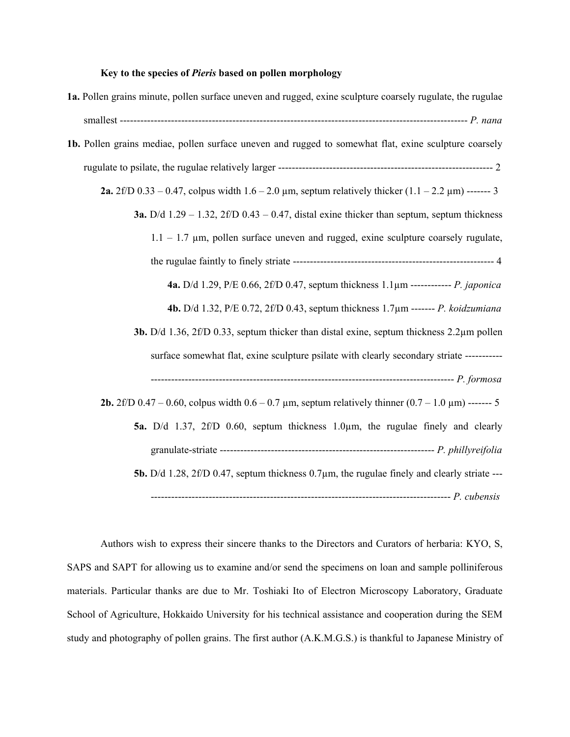### **Key to the species of** *Pieris* **based on pollen morphology**

| 1a. Pollen grains minute, pollen surface uneven and rugged, exine sculpture coarsely rugulate, the rugulae            |
|-----------------------------------------------------------------------------------------------------------------------|
|                                                                                                                       |
| 1b. Pollen grains mediae, pollen surface uneven and rugged to somewhat flat, exine sculpture coarsely                 |
|                                                                                                                       |
| <b>2a.</b> 2f/D 0.33 – 0.47, colpus width $1.6 - 2.0 \mu m$ , septum relatively thicker $(1.1 - 2.2 \mu m)$ ------- 3 |
| <b>3a.</b> D/d $1.29 - 1.32$ , $2f/D$ 0.43 – 0.47, distal exine thicker than septum, septum thickness                 |
| $1.1 - 1.7$ µm, pollen surface uneven and rugged, exine sculpture coarsely rugulate,                                  |
|                                                                                                                       |
| <b>4a.</b> D/d 1.29, P/E 0.66, 2f/D 0.47, septum thickness $1.1 \mu$ m ------------- <i>P. japonica</i>               |
| 4b. D/d 1.32, P/E 0.72, 2f/D 0.43, septum thickness 1.7μm ------- P. koidzumiana                                      |
| <b>3b.</b> D/d 1.36, $2f/D$ 0.33, septum thicker than distal exine, septum thickness $2.2\mu$ m pollen                |
| surface somewhat flat, exine sculpture psilate with clearly secondary striate -----------                             |
|                                                                                                                       |
| <b>2b.</b> 2f/D 0.47 – 0.60, colpus width 0.6 – 0.7 $\mu$ m, septum relatively thinner (0.7 – 1.0 $\mu$ m) ------- 5  |
| 5a. D/d 1.37, 2f/D 0.60, septum thickness 1.0µm, the rugulae finely and clearly                                       |
|                                                                                                                       |
| <b>5b.</b> D/d 1.28, 2f/D 0.47, septum thickness $0.7\mu$ m, the rugulae finely and clearly striate ---               |
|                                                                                                                       |

Authors wish to express their sincere thanks to the Directors and Curators of herbaria: KYO, S, SAPS and SAPT for allowing us to examine and/or send the specimens on loan and sample polliniferous materials. Particular thanks are due to Mr. Toshiaki Ito of Electron Microscopy Laboratory, Graduate School of Agriculture, Hokkaido University for his technical assistance and cooperation during the SEM study and photography of pollen grains. The first author (A.K.M.G.S.) is thankful to Japanese Ministry of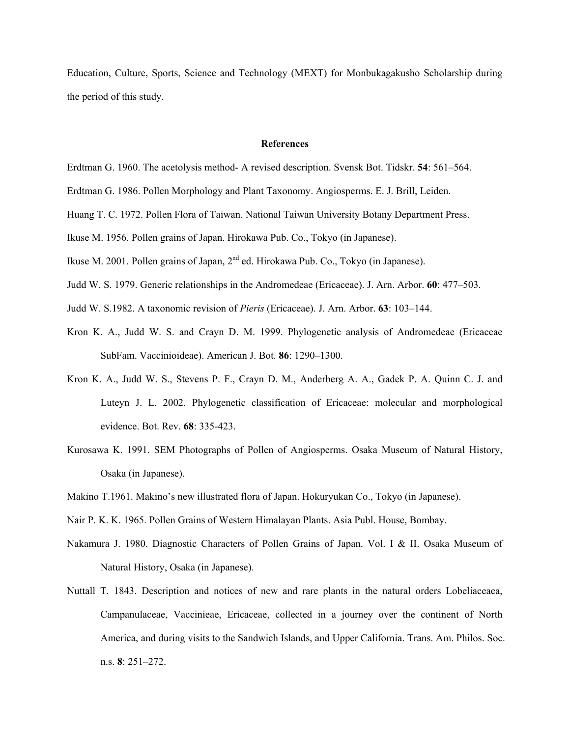Education, Culture, Sports, Science and Technology (MEXT) for Monbukagakusho Scholarship during the period of this study.

### **References**

- Erdtman G. 1960. The acetolysis method- A revised description. Svensk Bot. Tidskr. **54**: 561–564.
- Erdtman G. 1986. Pollen Morphology and Plant Taxonomy. Angiosperms. E. J. Brill, Leiden.
- Huang T. C. 1972. Pollen Flora of Taiwan. National Taiwan University Botany Department Press.
- Ikuse M. 1956. Pollen grains of Japan. Hirokawa Pub. Co., Tokyo (in Japanese).
- Ikuse M. 2001. Pollen grains of Japan,  $2<sup>nd</sup>$  ed. Hirokawa Pub. Co., Tokyo (in Japanese).
- Judd W. S. 1979. Generic relationships in the Andromedeae (Ericaceae). J. Arn. Arbor. **60**: 477–503.
- Judd W. S.1982. A taxonomic revision of *Pieris* (Ericaceae). J. Arn. Arbor. **63**: 103–144.
- Kron K. A., Judd W. S. and Crayn D. M. 1999. Phylogenetic analysis of Andromedeae (Ericaceae SubFam. Vaccinioideae). American J. Bot*.* **86**: 1290–1300.
- Kron K. A., Judd W. S., Stevens P. F., Crayn D. M., Anderberg A. A., Gadek P. A. Quinn C. J. and Luteyn J. L. 2002. Phylogenetic classification of Ericaceae: molecular and morphological evidence. Bot. Rev. **68**: 335-423.
- Kurosawa K. 1991. SEM Photographs of Pollen of Angiosperms. Osaka Museum of Natural History, Osaka (in Japanese).
- Makino T.1961. Makino's new illustrated flora of Japan. Hokuryukan Co., Tokyo (in Japanese).
- Nair P. K. K. 1965. Pollen Grains of Western Himalayan Plants. Asia Publ. House, Bombay.
- Nakamura J. 1980. Diagnostic Characters of Pollen Grains of Japan. Vol. I & II. Osaka Museum of Natural History, Osaka (in Japanese).
- Nuttall T. 1843. Description and notices of new and rare plants in the natural orders Lobeliaceaea, Campanulaceae, Vaccinieae, Ericaceae, collected in a journey over the continent of North America, and during visits to the Sandwich Islands, and Upper California. Trans. Am. Philos. Soc. n.s. **8**: 251–272.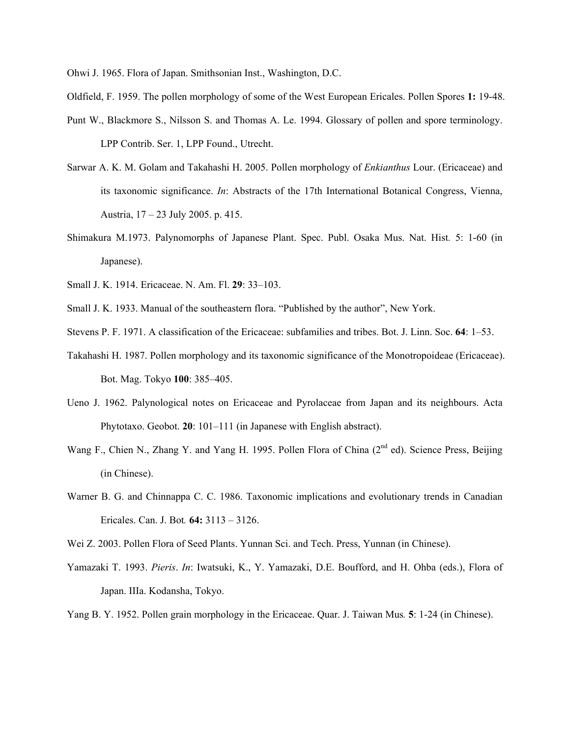Ohwi J. 1965. Flora of Japan. Smithsonian Inst., Washington, D.C.

- Oldfield, F. 1959. The pollen morphology of some of the West European Ericales. Pollen Spores **1:** 19-48.
- Punt W., Blackmore S., Nilsson S. and Thomas A. Le. 1994. Glossary of pollen and spore terminology. LPP Contrib. Ser. 1, LPP Found., Utrecht.
- Sarwar A. K. M. Golam and Takahashi H. 2005. Pollen morphology of *Enkianthus* Lour. (Ericaceae) and its taxonomic significance. *In*: Abstracts of the 17th International Botanical Congress, Vienna, Austria, 17 – 23 July 2005. p. 415.
- Shimakura M.1973. Palynomorphs of Japanese Plant. Spec. Publ. Osaka Mus. Nat. Hist*.* 5: 1-60 (in Japanese).
- Small J. K. 1914. Ericaceae. N. Am. Fl. **29**: 33–103.
- Small J. K. 1933. Manual of the southeastern flora. "Published by the author", New York.
- Stevens P. F. 1971. A classification of the Ericaceae: subfamilies and tribes. Bot. J. Linn. Soc. **64**: 1–53.
- Takahashi H. 1987. Pollen morphology and its taxonomic significance of the Monotropoideae (Ericaceae). Bot. Mag. Tokyo **100**: 385–405.
- Ueno J. 1962. Palynological notes on Ericaceae and Pyrolaceae from Japan and its neighbours. Acta Phytotaxo. Geobot. **20**: 101–111 (in Japanese with English abstract).
- Wang F., Chien N., Zhang Y. and Yang H. 1995. Pollen Flora of China (2<sup>nd</sup> ed). Science Press, Beijing (in Chinese).
- Warner B. G. and Chinnappa C. C. 1986. Taxonomic implications and evolutionary trends in Canadian Ericales. Can. J. Bot*.* **64:** 3113 – 3126.
- Wei Z. 2003. Pollen Flora of Seed Plants. Yunnan Sci. and Tech. Press, Yunnan (in Chinese).
- Yamazaki T. 1993. *Pieris*. *In*: Iwatsuki, K., Y. Yamazaki, D.E. Boufford, and H. Ohba (eds.), Flora of Japan. IIIa. Kodansha, Tokyo.
- Yang B. Y. 1952. Pollen grain morphology in the Ericaceae. Quar. J. Taiwan Mus*.* **5**: 1-24 (in Chinese).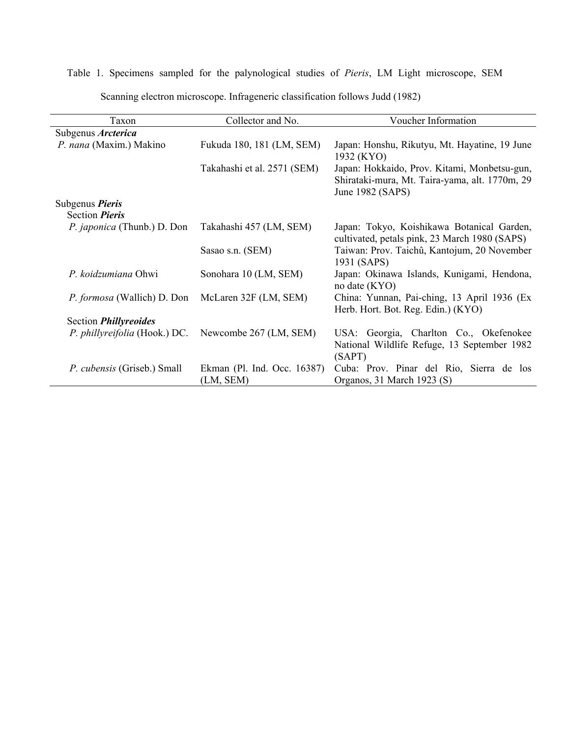## Table 1. Specimens sampled for the palynological studies of *Pieris*, LM Light microscope, SEM

| Scanning electron microscope. Infrageneric classification follows Judd (1982) |
|-------------------------------------------------------------------------------|
|-------------------------------------------------------------------------------|

| Taxon                              | Collector and No.                        | Voucher Information                                                                                                |  |  |  |  |
|------------------------------------|------------------------------------------|--------------------------------------------------------------------------------------------------------------------|--|--|--|--|
| Subgenus Arcterica                 |                                          |                                                                                                                    |  |  |  |  |
| P. nana (Maxim.) Makino            | Fukuda 180, 181 (LM, SEM)                | Japan: Honshu, Rikutyu, Mt. Hayatine, 19 June<br>1932 (KYO)                                                        |  |  |  |  |
|                                    | Takahashi et al. 2571 (SEM)              | Japan: Hokkaido, Prov. Kitami, Monbetsu-gun,<br>Shirataki-mura, Mt. Taira-yama, alt. 1770m, 29<br>June 1982 (SAPS) |  |  |  |  |
| Subgenus Pieris                    |                                          |                                                                                                                    |  |  |  |  |
| Section <i>Pieris</i>              |                                          |                                                                                                                    |  |  |  |  |
| P. japonica (Thunb.) D. Don        | Takahashi 457 (LM, SEM)                  | Japan: Tokyo, Koishikawa Botanical Garden,<br>cultivated, petals pink, 23 March 1980 (SAPS)                        |  |  |  |  |
|                                    | Sasao s.n. (SEM)                         | Taiwan: Prov. Taichû, Kantojum, 20 November<br>1931 (SAPS)                                                         |  |  |  |  |
| P. koidzumiana Ohwi                | Sonohara 10 (LM, SEM)                    | Japan: Okinawa Islands, Kunigami, Hendona,<br>no date (KYO)                                                        |  |  |  |  |
| <i>P. formosa</i> (Wallich) D. Don | McLaren 32F (LM, SEM)                    | China: Yunnan, Pai-ching, 13 April 1936 (Ex<br>Herb. Hort. Bot. Reg. Edin.) (KYO)                                  |  |  |  |  |
| Section <i>Phillyreoides</i>       |                                          |                                                                                                                    |  |  |  |  |
| P. phillyreifolia (Hook.) DC.      | Newcombe 267 (LM, SEM)                   | USA: Georgia, Charlton Co., Okefenokee<br>National Wildlife Refuge, 13 September 1982<br>(SAPT)                    |  |  |  |  |
| P. cubensis (Griseb.) Small        | Ekman (Pl. Ind. Occ. 16387)<br>(LM, SEM) | Cuba: Prov. Pinar del Rio, Sierra de los<br>Organos, 31 March 1923 (S)                                             |  |  |  |  |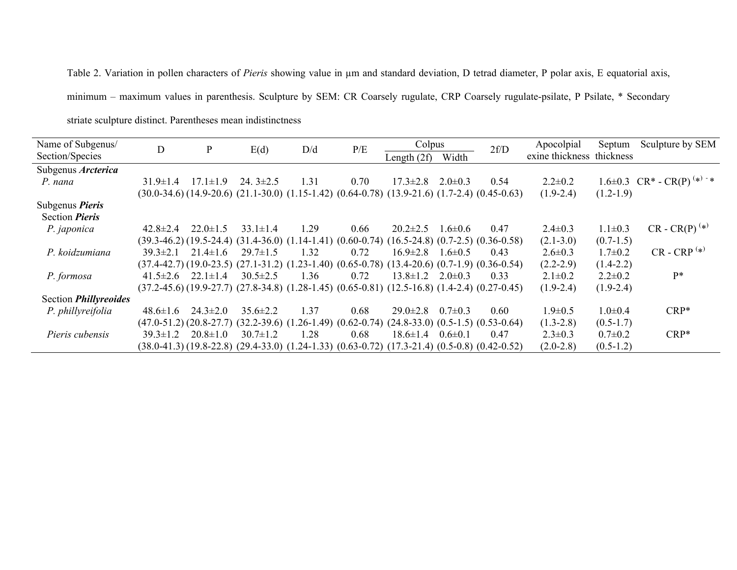Table 2. Variation in pollen characters of *Pieris* showing value in µm and standard deviation, D tetrad diameter, P polar axis, E equatorial axis,

minimum – maximum values in parenthesis. Sculpture by SEM: CR Coarsely rugulate, CRP Coarsely rugulate-psilate, P Psilate, \* Secondary

striate sculpture distinct. Parentheses mean indistinctness

| Name of Subgenus/            | D                                                                                                             | P              | E(d)           | D/d  | P/E  | Colpus                                                                                                        |               | 2f/D                                    | Apocolpial                | Septum        | Sculpture by SEM                  |
|------------------------------|---------------------------------------------------------------------------------------------------------------|----------------|----------------|------|------|---------------------------------------------------------------------------------------------------------------|---------------|-----------------------------------------|---------------------------|---------------|-----------------------------------|
| Section/Species              |                                                                                                               |                |                |      |      | Length $(2f)$                                                                                                 | Width         |                                         | exine thickness thickness |               |                                   |
| Subgenus Arcterica           |                                                                                                               |                |                |      |      |                                                                                                               |               |                                         |                           |               |                                   |
| P. nana                      | $31.9 \pm 1.4$                                                                                                | $17.1 \pm 1.9$ | 24. $3\pm2.5$  | 1.31 | 0.70 | $17.3 \pm 2.8$                                                                                                | $2.0 \pm 0.3$ | 0.54                                    | $2.2 \pm 0.2$             |               | 1.6±0.3 $CR^*$ - $CR(P)^{(*)}$ +* |
|                              |                                                                                                               |                |                |      |      | $(30.0-34.6)$ $(14.9-20.6)$ $(21.1-30.0)$ $(1.15-1.42)$ $(0.64-0.78)$ $(13.9-21.6)$ $(1.7-2.4)$ $(0.45-0.63)$ |               |                                         | $(1.9-2.4)$               | $(1.2-1.9)$   |                                   |
| Subgenus <i>Pieris</i>       |                                                                                                               |                |                |      |      |                                                                                                               |               |                                         |                           |               |                                   |
| Section <i>Pieris</i>        |                                                                                                               |                |                |      |      |                                                                                                               |               |                                         |                           |               |                                   |
| P. japonica                  | $42.8 \pm 2.4$                                                                                                | $22.0 \pm 1.5$ | $33.1 \pm 1.4$ | 1.29 | 0.66 | $20.2 \pm 2.5$                                                                                                | $1.6 \pm 0.6$ | 0.47                                    | $2.4 \pm 0.3$             | $1.1 \pm 0.3$ | $CR - CR(P)^{(*)}$                |
|                              |                                                                                                               |                |                |      |      | $(39.3-46.2)$ $(19.5-24.4)$ $(31.4-36.0)$ $(1.14-1.41)$ $(0.60-0.74)$ $(16.5-24.8)$ $(0.7-2.5)$ $(0.36-0.58)$ |               |                                         | $(2.1 - 3.0)$             | $(0.7-1.5)$   |                                   |
| P. koidzumiana               | $39.3 \pm 2.1$                                                                                                | $21.4 \pm 1.6$ | $29.7 \pm 1.5$ | 1.32 | 0.72 | $16.9 \pm 2.8$                                                                                                | $1.6 \pm 0.5$ | 0.43                                    | $2.6 \pm 0.3$             | $1.7 \pm 0.2$ | $CR - CRP^{(*)}$                  |
|                              | $(37.4-42.7)$ $(19.0-23.5)$ $(27.1-31.2)$ $(1.23-1.40)$ $(0.65-0.78)$ $(13.4-20.6)$ $(0.7-1.9)$ $(0.36-0.54)$ |                |                |      |      |                                                                                                               |               |                                         | $(2.2 - 2.9)$             | $(1.4-2.2)$   |                                   |
| P. formosa                   | $41.5 \pm 2.6$                                                                                                | $22.1 \pm 1.4$ | $30.5 \pm 2.5$ | 1.36 | 0.72 | $13.8 \pm 1.2$                                                                                                | $2.0 \pm 0.3$ | 0.33                                    | $2.1 \pm 0.2$             | $2.2 \pm 0.2$ | $P*$                              |
|                              | $(37.2-45.6)(19.9-27.7)(27.8-34.8)(1.28-1.45)(0.65-0.81)(12.5-16.8)(1.4-2.4)(0.27-0.45)$                      |                |                |      |      |                                                                                                               |               |                                         | $(1.9-2.4)$               | $(1.9-2.4)$   |                                   |
| Section <i>Phillyreoides</i> |                                                                                                               |                |                |      |      |                                                                                                               |               |                                         |                           |               |                                   |
| P. phillyreifolia            | $48.6 \pm 1.6$                                                                                                | $24.3 \pm 2.0$ | $35.6 \pm 2.2$ | 1.37 | 0.68 | $29.0 \pm 2.8$                                                                                                | $0.7\pm0.3$   | 0.60                                    | $1.9 \pm 0.5$             | $1.0 \pm 0.4$ | $CRP*$                            |
|                              | $(47.0-51.2)$ $(20.8-27.7)$ $(32.2-39.6)$ $(1.26-1.49)$ $(0.62-0.74)$                                         |                |                |      |      |                                                                                                               |               | $(24.8-33.0)$ $(0.5-1.5)$ $(0.53-0.64)$ | $(1.3 - 2.8)$             | $(0.5-1.7)$   |                                   |
| Pieris cubensis              | $39.3 \pm 1.2$                                                                                                | $20.8 \pm 1.0$ | $30.7 \pm 1.2$ | 1.28 | 0.68 | $18.6 \pm 1.4$                                                                                                | $0.6 \pm 0.1$ | 0.47                                    | $2.3 \pm 0.3$             | $0.7 \pm 0.2$ | $CRP*$                            |
|                              |                                                                                                               |                |                |      |      | $(38.0-41.3)$ $(19.8-22.8)$ $(29.4-33.0)$ $(1.24-1.33)$ $(0.63-0.72)$ $(17.3-21.4)$ $(0.5-0.8)$ $(0.42-0.52)$ |               |                                         | $(2.0-2.8)$               | $(0.5-1.2)$   |                                   |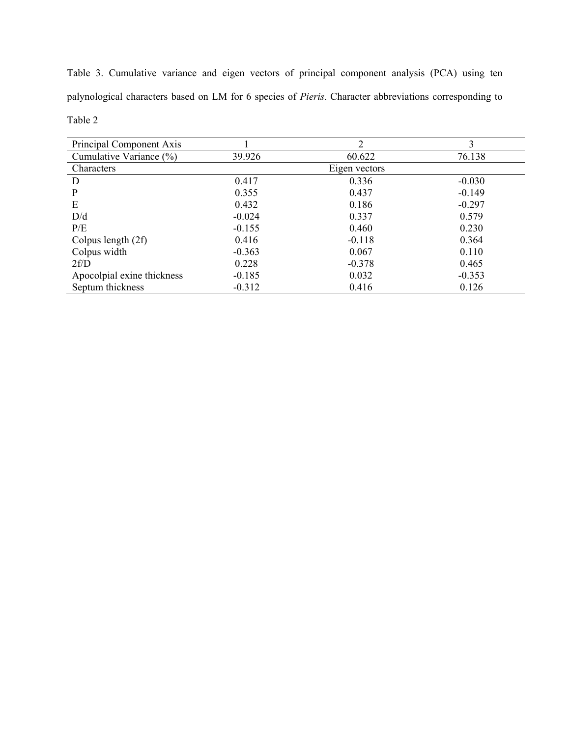Table 3. Cumulative variance and eigen vectors of principal component analysis (PCA) using ten palynological characters based on LM for 6 species of *Pieris*. Character abbreviations corresponding to Table 2

| Principal Component Axis   |          | 2             | 3        |
|----------------------------|----------|---------------|----------|
| Cumulative Variance (%)    | 39.926   | 60.622        | 76.138   |
| Characters                 |          | Eigen vectors |          |
| D                          | 0.417    | 0.336         | $-0.030$ |
| P                          | 0.355    | 0.437         | $-0.149$ |
| E                          | 0.432    | 0.186         | $-0.297$ |
| D/d                        | $-0.024$ | 0.337         | 0.579    |
| P/E                        | $-0.155$ | 0.460         | 0.230    |
| Colpus length $(2f)$       | 0.416    | $-0.118$      | 0.364    |
| Colpus width               | $-0.363$ | 0.067         | 0.110    |
| 2f/D                       | 0.228    | $-0.378$      | 0.465    |
| Apocolpial exine thickness | $-0.185$ | 0.032         | $-0.353$ |
| Septum thickness           | $-0.312$ | 0.416         | 0.126    |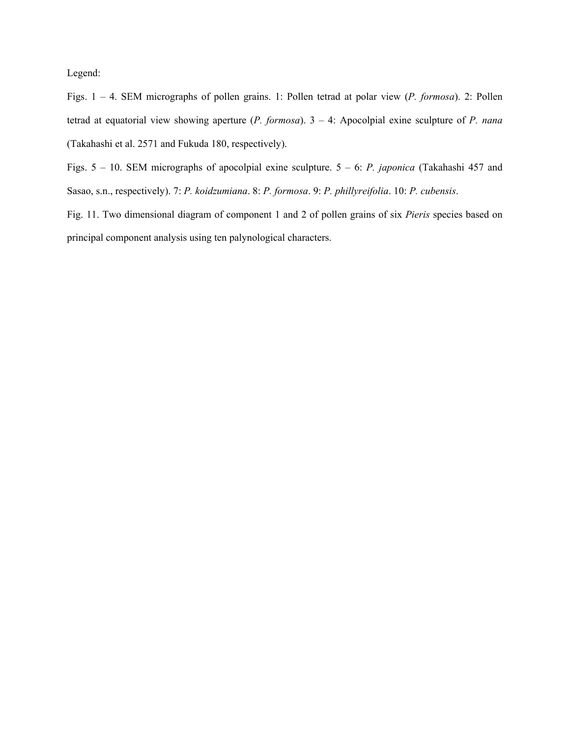Legend:

Figs. 1 – 4. SEM micrographs of pollen grains. 1: Pollen tetrad at polar view (*P. formosa*). 2: Pollen tetrad at equatorial view showing aperture (*P. formosa*). 3 – 4: Apocolpial exine sculpture of *P. nana* (Takahashi et al. 2571 and Fukuda 180, respectively).

Figs. 5 – 10. SEM micrographs of apocolpial exine sculpture. 5 – 6: *P. japonica* (Takahashi 457 and Sasao, s.n., respectively). 7: *P. koidzumiana*. 8: *P. formosa*. 9: *P. phillyreifolia*. 10: *P. cubensis*.

Fig. 11. Two dimensional diagram of component 1 and 2 of pollen grains of six *Pieris* species based on principal component analysis using ten palynological characters.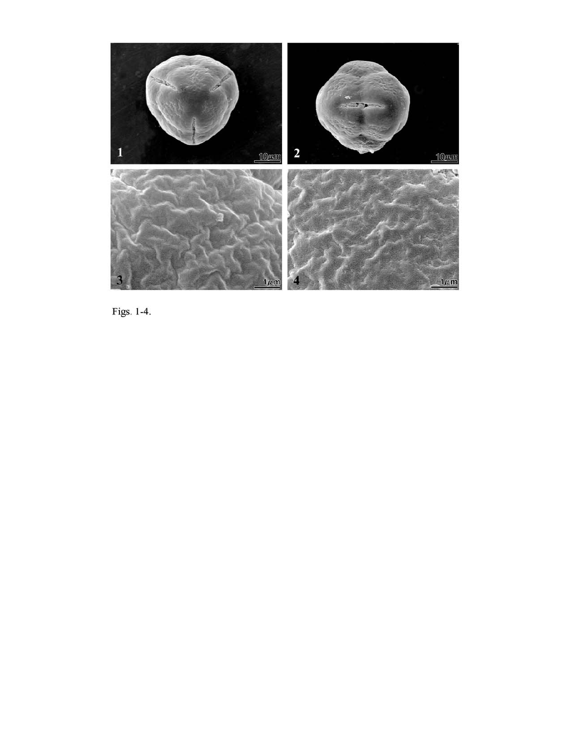

Figs. 1-4.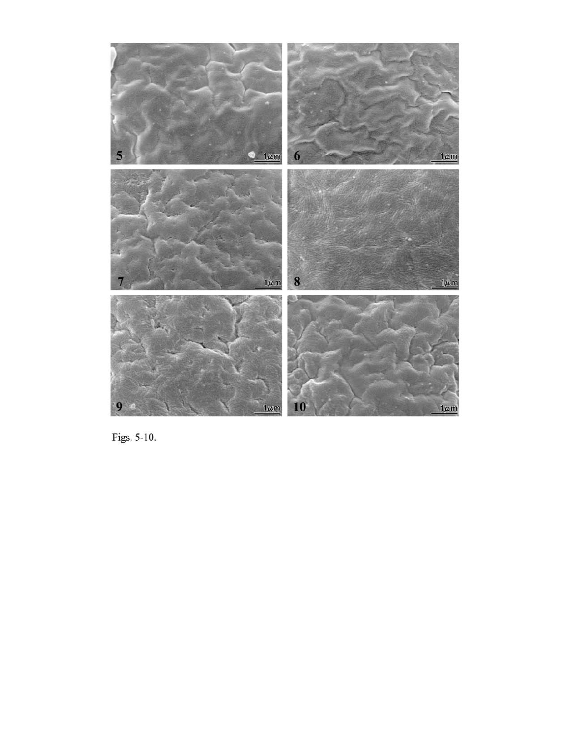

Figs. 5-10.